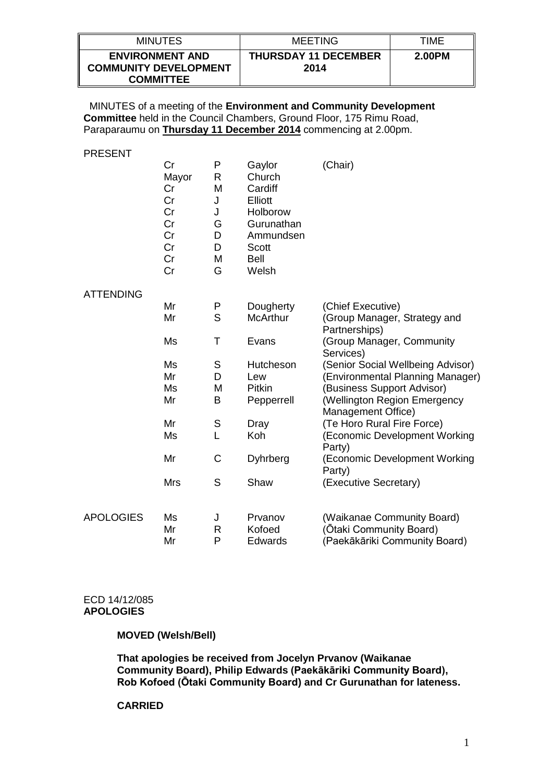| <b>MINUTES</b>                                                             | <b>MEETING</b>                      | TIME   |
|----------------------------------------------------------------------------|-------------------------------------|--------|
| <b>ENVIRONMENT AND</b><br><b>COMMUNITY DEVELOPMENT</b><br><b>COMMITTEE</b> | <b>THURSDAY 11 DECEMBER</b><br>2014 | 2.00PM |

 MINUTES of a meeting of the **Environment and Community Development Committee** held in the Council Chambers, Ground Floor, 175 Rimu Road, Paraparaumu on **Thursday 11 December 2014** commencing at 2.00pm.

PRESENT

|                  | Cr<br>Mayor<br>Cr<br>Cr<br>Cr<br>Cr<br>Cr<br>Cr<br>Cr<br>Cr | P<br>R<br>M<br>J<br>J<br>G<br>D<br>D<br>M<br>G | Gaylor<br>Church<br>Cardiff<br><b>Elliott</b><br>Holborow<br>Gurunathan<br>Ammundsen<br>Scott<br><b>Bell</b><br>Welsh | (Chair)                                                                                |
|------------------|-------------------------------------------------------------|------------------------------------------------|-----------------------------------------------------------------------------------------------------------------------|----------------------------------------------------------------------------------------|
| <b>ATTENDING</b> |                                                             |                                                |                                                                                                                       |                                                                                        |
|                  | Mr                                                          | P                                              | Dougherty                                                                                                             | (Chief Executive)                                                                      |
|                  | Mr                                                          | S                                              | <b>McArthur</b>                                                                                                       | (Group Manager, Strategy and<br>Partnerships)                                          |
|                  | Ms                                                          | Τ                                              | Evans                                                                                                                 | (Group Manager, Community<br>Services)                                                 |
|                  | Ms                                                          | S                                              | Hutcheson                                                                                                             | (Senior Social Wellbeing Advisor)                                                      |
|                  | Mr                                                          | D                                              | Lew                                                                                                                   | (Environmental Planning Manager)                                                       |
|                  | Ms                                                          | M                                              | <b>Pitkin</b>                                                                                                         | (Business Support Advisor)                                                             |
|                  | Mr                                                          | B                                              | Pepperrell                                                                                                            | (Wellington Region Emergency<br>Management Office)                                     |
|                  | Mr                                                          | S                                              | Dray                                                                                                                  | (Te Horo Rural Fire Force)                                                             |
|                  | Ms                                                          | L                                              | Koh                                                                                                                   | (Economic Development Working<br>Party)                                                |
|                  | Mr                                                          | C                                              | Dyhrberg                                                                                                              | (Economic Development Working<br>Party)                                                |
|                  | <b>Mrs</b>                                                  | S                                              | Shaw                                                                                                                  | (Executive Secretary)                                                                  |
| <b>APOLOGIES</b> | Ms<br>Mr<br>Mr                                              | J<br>$\mathsf{R}$<br>P                         | Prvanov<br>Kofoed<br><b>Edwards</b>                                                                                   | (Waikanae Community Board)<br>(Ōtaki Community Board)<br>(Paekākāriki Community Board) |

#### ECD 14/12/085 **APOLOGIES**

# **MOVED (Welsh/Bell)**

**That apologies be received from Jocelyn Prvanov (Waikanae Community Board), Philip Edwards (Paekākāriki Community Board), Rob Kofoed (Ōtaki Community Board) and Cr Gurunathan for lateness.**

### **CARRIED**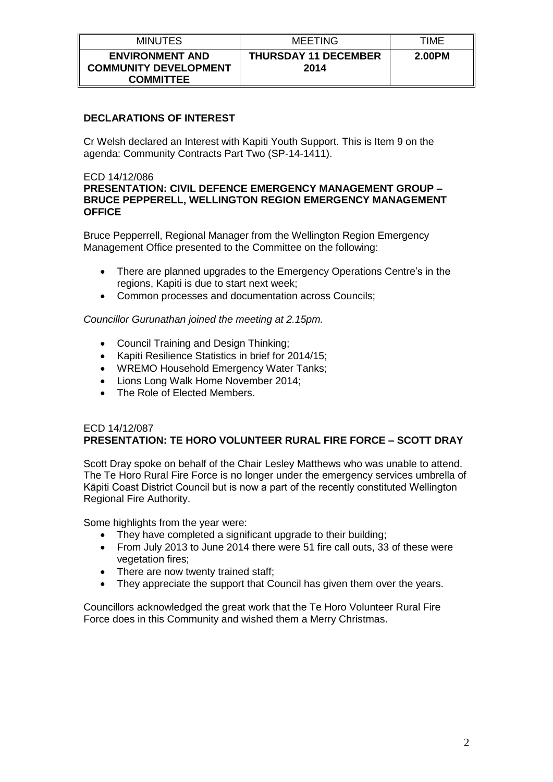| <b>MINUTES</b>                                                             | MEETING                             | TIME   |
|----------------------------------------------------------------------------|-------------------------------------|--------|
| <b>ENVIRONMENT AND</b><br><b>COMMUNITY DEVELOPMENT</b><br><b>COMMITTEE</b> | <b>THURSDAY 11 DECEMBER</b><br>2014 | 2.00PM |

# **DECLARATIONS OF INTEREST**

Cr Welsh declared an Interest with Kapiti Youth Support. This is Item 9 on the agenda: Community Contracts Part Two (SP-14-1411).

# ECD 14/12/086

# **PRESENTATION: CIVIL DEFENCE EMERGENCY MANAGEMENT GROUP – BRUCE PEPPERELL, WELLINGTON REGION EMERGENCY MANAGEMENT OFFICE**

Bruce Pepperrell, Regional Manager from the Wellington Region Emergency Management Office presented to the Committee on the following:

- There are planned upgrades to the Emergency Operations Centre's in the regions, Kapiti is due to start next week;
- Common processes and documentation across Councils;

# *Councillor Gurunathan joined the meeting at 2.15pm.*

- Council Training and Design Thinking:
- Kapiti Resilience Statistics in brief for 2014/15;
- WREMO Household Emergency Water Tanks;
- Lions Long Walk Home November 2014;
- The Role of Elected Members.

# ECD 14/12/087 **PRESENTATION: TE HORO VOLUNTEER RURAL FIRE FORCE – SCOTT DRAY**

Scott Dray spoke on behalf of the Chair Lesley Matthews who was unable to attend. The Te Horo Rural Fire Force is no longer under the emergency services umbrella of Kāpiti Coast District Council but is now a part of the recently constituted Wellington Regional Fire Authority.

Some highlights from the year were:

- They have completed a significant upgrade to their building;
- From July 2013 to June 2014 there were 51 fire call outs, 33 of these were vegetation fires;
- There are now twenty trained staff;
- They appreciate the support that Council has given them over the years.

Councillors acknowledged the great work that the Te Horo Volunteer Rural Fire Force does in this Community and wished them a Merry Christmas.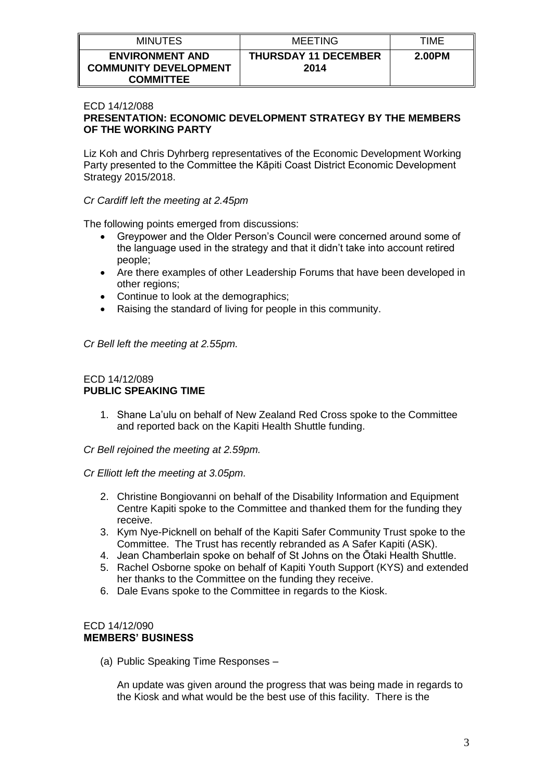| <b>MINUTES</b>                                         | <b>MEETING</b>                      | TIME   |
|--------------------------------------------------------|-------------------------------------|--------|
| <b>ENVIRONMENT AND</b><br><b>COMMUNITY DEVELOPMENT</b> | <b>THURSDAY 11 DECEMBER</b><br>2014 | 2.00PM |
| <b>COMMITTEE</b>                                       |                                     |        |

### ECD 14/12/088

# **PRESENTATION: ECONOMIC DEVELOPMENT STRATEGY BY THE MEMBERS OF THE WORKING PARTY**

Liz Koh and Chris Dyhrberg representatives of the Economic Development Working Party presented to the Committee the Kāpiti Coast District Economic Development Strategy 2015/2018.

### *Cr Cardiff left the meeting at 2.45pm*

The following points emerged from discussions:

- Greypower and the Older Person's Council were concerned around some of the language used in the strategy and that it didn't take into account retired people;
- Are there examples of other Leadership Forums that have been developed in other regions;
- Continue to look at the demographics;
- Raising the standard of living for people in this community.

*Cr Bell left the meeting at 2.55pm.*

### ECD 14/12/089 **PUBLIC SPEAKING TIME**

- 1. Shane La'ulu on behalf of New Zealand Red Cross spoke to the Committee and reported back on the Kapiti Health Shuttle funding.
- *Cr Bell rejoined the meeting at 2.59pm.*
- *Cr Elliott left the meeting at 3.05pm.*
	- 2. Christine Bongiovanni on behalf of the Disability Information and Equipment Centre Kapiti spoke to the Committee and thanked them for the funding they receive.
	- 3. Kym Nye-Picknell on behalf of the Kapiti Safer Community Trust spoke to the Committee. The Trust has recently rebranded as A Safer Kapiti (ASK).
	- 4. Jean Chamberlain spoke on behalf of St Johns on the Ōtaki Health Shuttle.
	- 5. Rachel Osborne spoke on behalf of Kapiti Youth Support (KYS) and extended her thanks to the Committee on the funding they receive.
	- 6. Dale Evans spoke to the Committee in regards to the Kiosk.

#### ECD 14/12/090 **MEMBERS' BUSINESS**

(a) Public Speaking Time Responses –

An update was given around the progress that was being made in regards to the Kiosk and what would be the best use of this facility. There is the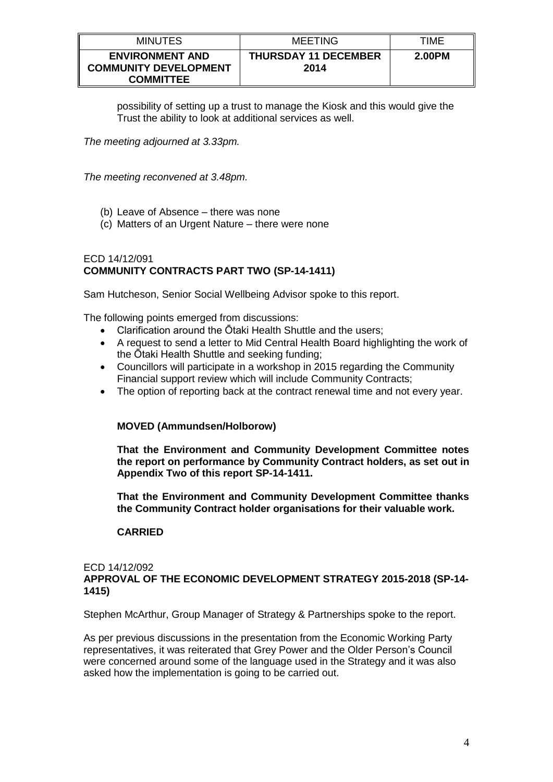| <b>MINUTES</b>                                                             | MEETING                             | TIME   |
|----------------------------------------------------------------------------|-------------------------------------|--------|
| <b>ENVIRONMENT AND</b><br><b>COMMUNITY DEVELOPMENT</b><br><b>COMMITTEE</b> | <b>THURSDAY 11 DECEMBER</b><br>2014 | 2.00PM |

possibility of setting up a trust to manage the Kiosk and this would give the Trust the ability to look at additional services as well.

*The meeting adjourned at 3.33pm.*

*The meeting reconvened at 3.48pm.*

- (b) Leave of Absence there was none
- (c) Matters of an Urgent Nature there were none

### ECD 14/12/091 **COMMUNITY CONTRACTS PART TWO (SP-14-1411)**

Sam Hutcheson, Senior Social Wellbeing Advisor spoke to this report.

The following points emerged from discussions:

- Clarification around the Ōtaki Health Shuttle and the users;
- A request to send a letter to Mid Central Health Board highlighting the work of the Ōtaki Health Shuttle and seeking funding;
- Councillors will participate in a workshop in 2015 regarding the Community Financial support review which will include Community Contracts;
- The option of reporting back at the contract renewal time and not every year.

# **MOVED (Ammundsen/Holborow)**

**That the Environment and Community Development Committee notes the report on performance by Community Contract holders, as set out in Appendix Two of this report SP-14-1411.** 

**That the Environment and Community Development Committee thanks the Community Contract holder organisations for their valuable work.** 

# **CARRIED**

#### ECD 14/12/092 **APPROVAL OF THE ECONOMIC DEVELOPMENT STRATEGY 2015-2018 (SP-14- 1415)**

Stephen McArthur, Group Manager of Strategy & Partnerships spoke to the report.

As per previous discussions in the presentation from the Economic Working Party representatives, it was reiterated that Grey Power and the Older Person's Council were concerned around some of the language used in the Strategy and it was also asked how the implementation is going to be carried out.